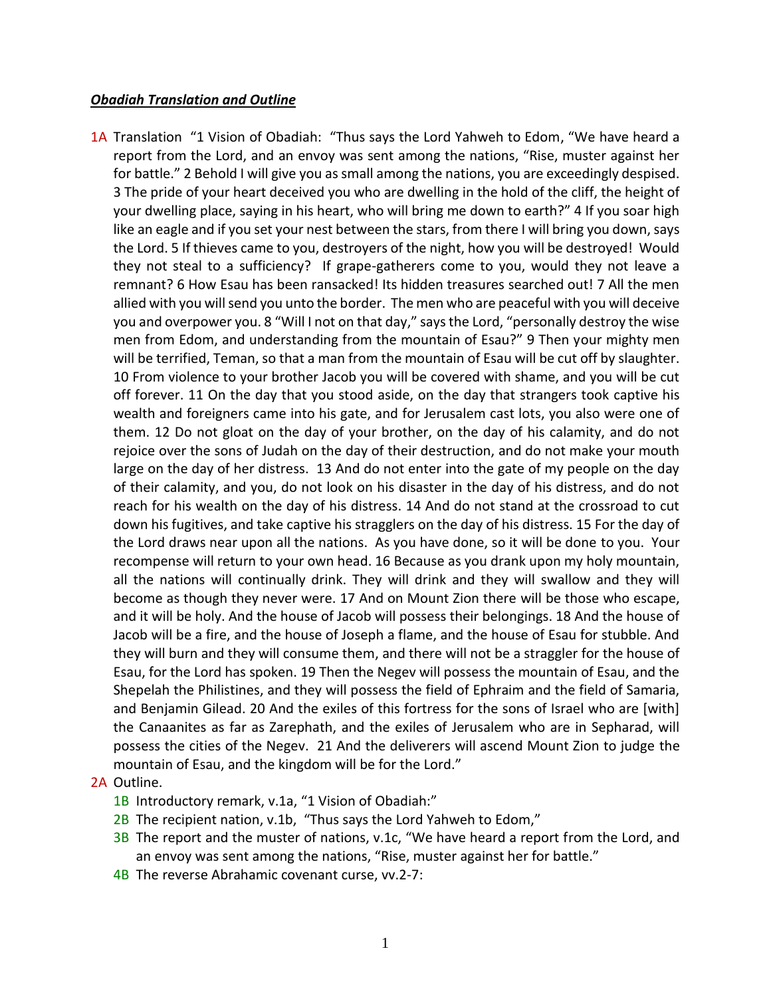## *Obadiah Translation and Outline*

1A Translation "1 Vision of Obadiah: "Thus says the Lord Yahweh to Edom, "We have heard a report from the Lord, and an envoy was sent among the nations, "Rise, muster against her for battle." 2 Behold I will give you as small among the nations, you are exceedingly despised. 3 The pride of your heart deceived you who are dwelling in the hold of the cliff, the height of your dwelling place, saying in his heart, who will bring me down to earth?" 4 If you soar high like an eagle and if you set your nest between the stars, from there I will bring you down, says the Lord. 5 If thieves came to you, destroyers of the night, how you will be destroyed! Would they not steal to a sufficiency? If grape-gatherers come to you, would they not leave a remnant? 6 How Esau has been ransacked! Its hidden treasures searched out! 7 All the men allied with you will send you unto the border. The men who are peaceful with you will deceive you and overpower you. 8 "Will I not on that day," says the Lord, "personally destroy the wise men from Edom, and understanding from the mountain of Esau?" 9 Then your mighty men will be terrified, Teman, so that a man from the mountain of Esau will be cut off by slaughter. 10 From violence to your brother Jacob you will be covered with shame, and you will be cut off forever. 11 On the day that you stood aside, on the day that strangers took captive his wealth and foreigners came into his gate, and for Jerusalem cast lots, you also were one of them. 12 Do not gloat on the day of your brother, on the day of his calamity, and do not rejoice over the sons of Judah on the day of their destruction, and do not make your mouth large on the day of her distress. 13 And do not enter into the gate of my people on the day of their calamity, and you, do not look on his disaster in the day of his distress, and do not reach for his wealth on the day of his distress. 14 And do not stand at the crossroad to cut down his fugitives, and take captive his stragglers on the day of his distress. 15 For the day of the Lord draws near upon all the nations. As you have done, so it will be done to you. Your recompense will return to your own head. 16 Because as you drank upon my holy mountain, all the nations will continually drink. They will drink and they will swallow and they will become as though they never were. 17 And on Mount Zion there will be those who escape, and it will be holy. And the house of Jacob will possess their belongings. 18 And the house of Jacob will be a fire, and the house of Joseph a flame, and the house of Esau for stubble. And they will burn and they will consume them, and there will not be a straggler for the house of Esau, for the Lord has spoken. 19 Then the Negev will possess the mountain of Esau, and the Shepelah the Philistines, and they will possess the field of Ephraim and the field of Samaria, and Benjamin Gilead. 20 And the exiles of this fortress for the sons of Israel who are [with] the Canaanites as far as Zarephath, and the exiles of Jerusalem who are in Sepharad, will possess the cities of the Negev. 21 And the deliverers will ascend Mount Zion to judge the mountain of Esau, and the kingdom will be for the Lord."

## 2A Outline.

- 1B Introductory remark, v.1a, "1 Vision of Obadiah:"
- 2B The recipient nation, v.1b, "Thus says the Lord Yahweh to Edom,"
- 3B The report and the muster of nations, v.1c, "We have heard a report from the Lord, and an envoy was sent among the nations, "Rise, muster against her for battle."
- 4B The reverse Abrahamic covenant curse, vv.2-7: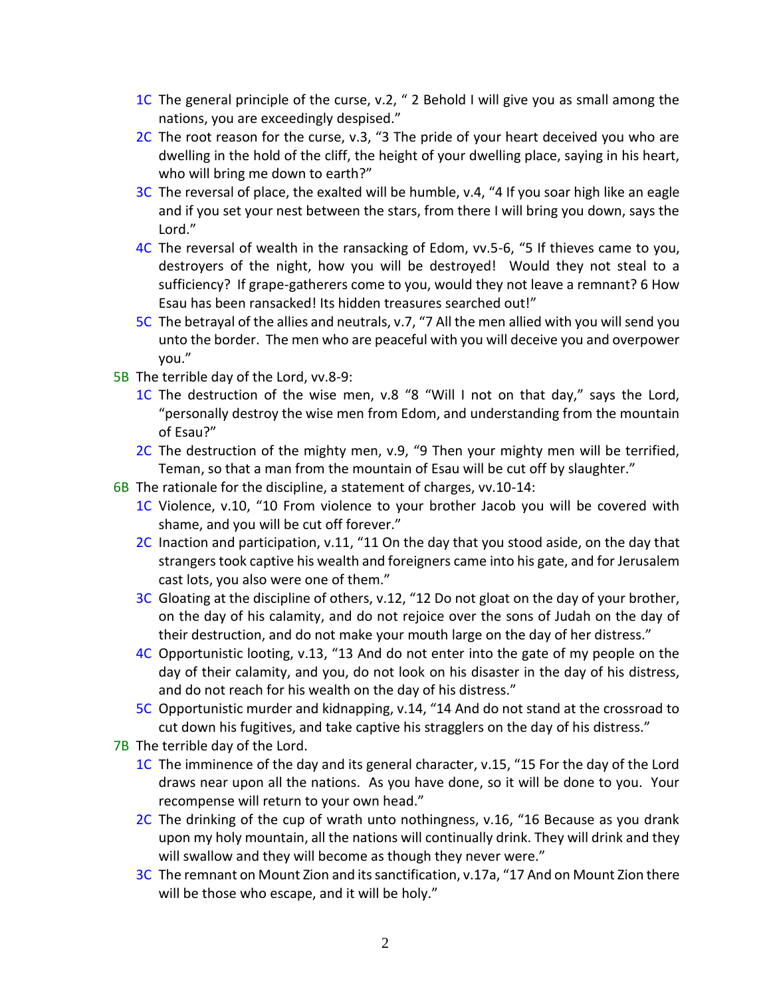- 1C The general principle of the curse, v.2, " 2 Behold I will give you as small among the nations, you are exceedingly despised."
- 2C The root reason for the curse, v.3, "3 The pride of your heart deceived you who are dwelling in the hold of the cliff, the height of your dwelling place, saying in his heart, who will bring me down to earth?"
- 3C The reversal of place, the exalted will be humble, v.4, "4 If you soar high like an eagle and if you set your nest between the stars, from there I will bring you down, says the Lord."
- 4C The reversal of wealth in the ransacking of Edom, vv.5-6, "5 If thieves came to you, destroyers of the night, how you will be destroyed! Would they not steal to a sufficiency? If grape-gatherers come to you, would they not leave a remnant? 6 How Esau has been ransacked! Its hidden treasures searched out!"
- 5C The betrayal of the allies and neutrals, v.7, "7 All the men allied with you will send you unto the border. The men who are peaceful with you will deceive you and overpower you."
- 5B The terrible day of the Lord, vv.8-9:
	- 1C The destruction of the wise men, v.8 "8 "Will I not on that day," says the Lord, "personally destroy the wise men from Edom, and understanding from the mountain of Esau?"
	- 2C The destruction of the mighty men, v.9, "9 Then your mighty men will be terrified, Teman, so that a man from the mountain of Esau will be cut off by slaughter."
- 6B The rationale for the discipline, a statement of charges, vv.10-14:
	- 1C Violence, v.10, "10 From violence to your brother Jacob you will be covered with shame, and you will be cut off forever."
	- 2C Inaction and participation, v.11, "11 On the day that you stood aside, on the day that strangers took captive his wealth and foreigners came into his gate, and for Jerusalem cast lots, you also were one of them."
	- 3C Gloating at the discipline of others, v.12, "12 Do not gloat on the day of your brother, on the day of his calamity, and do not rejoice over the sons of Judah on the day of their destruction, and do not make your mouth large on the day of her distress."
	- 4C Opportunistic looting, v.13, "13 And do not enter into the gate of my people on the day of their calamity, and you, do not look on his disaster in the day of his distress, and do not reach for his wealth on the day of his distress."
	- 5C Opportunistic murder and kidnapping, v.14, "14 And do not stand at the crossroad to cut down his fugitives, and take captive his stragglers on the day of his distress."
- 7B The terrible day of the Lord.
	- 1C The imminence of the day and its general character, v.15, "15 For the day of the Lord draws near upon all the nations. As you have done, so it will be done to you. Your recompense will return to your own head."
	- 2C The drinking of the cup of wrath unto nothingness, v.16, "16 Because as you drank upon my holy mountain, all the nations will continually drink. They will drink and they will swallow and they will become as though they never were."
	- 3C The remnant on Mount Zion and its sanctification, v.17a, "17 And on Mount Zion there will be those who escape, and it will be holy."